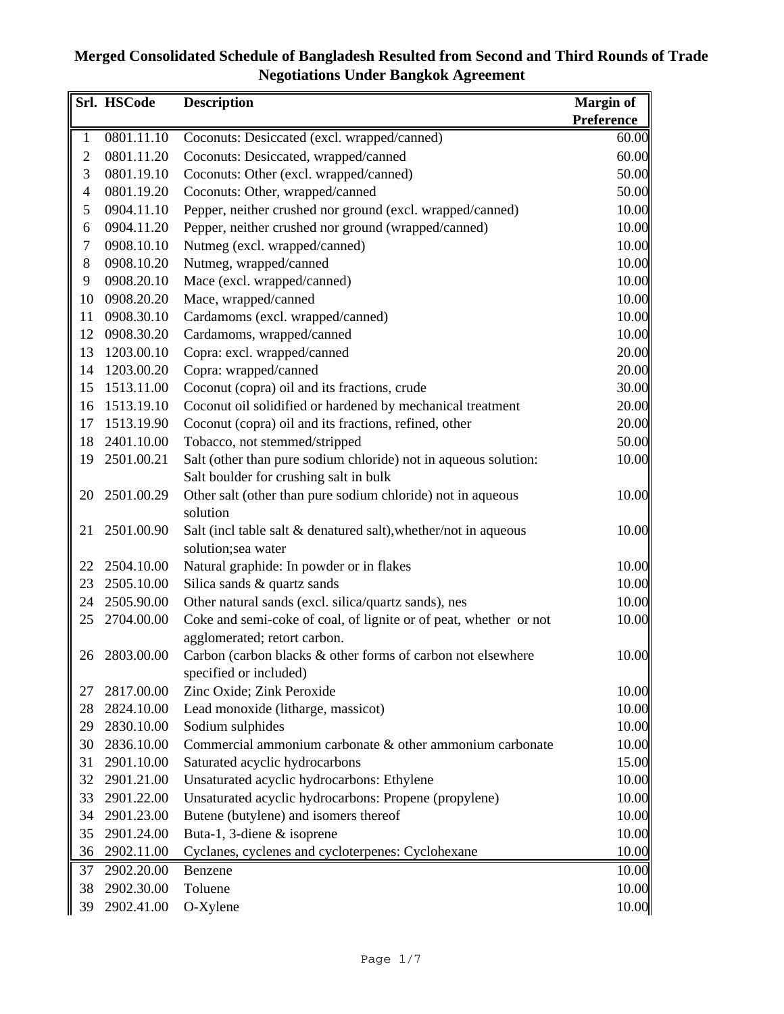|                  | Srl. HSCode | <b>Description</b>                                                | <b>Margin of</b>  |
|------------------|-------------|-------------------------------------------------------------------|-------------------|
|                  |             |                                                                   | <b>Preference</b> |
| $\mathbf{1}$     | 0801.11.10  | Coconuts: Desiccated (excl. wrapped/canned)                       | 60.00             |
| $\mathbf{2}$     | 0801.11.20  | Coconuts: Desiccated, wrapped/canned                              | 60.00             |
| $\mathfrak{Z}$   | 0801.19.10  | Coconuts: Other (excl. wrapped/canned)                            | 50.00             |
| $\overline{4}$   | 0801.19.20  | Coconuts: Other, wrapped/canned                                   | 50.00             |
| 5                | 0904.11.10  | Pepper, neither crushed nor ground (excl. wrapped/canned)         | 10.00             |
| 6                | 0904.11.20  | Pepper, neither crushed nor ground (wrapped/canned)               | 10.00             |
| $\boldsymbol{7}$ | 0908.10.10  | Nutmeg (excl. wrapped/canned)                                     | 10.00             |
| 8                | 0908.10.20  | Nutmeg, wrapped/canned                                            | 10.00             |
| 9                | 0908.20.10  | Mace (excl. wrapped/canned)                                       | 10.00             |
| 10               | 0908.20.20  | Mace, wrapped/canned                                              | 10.00             |
| 11               | 0908.30.10  | Cardamoms (excl. wrapped/canned)                                  | 10.00             |
| 12               | 0908.30.20  | Cardamoms, wrapped/canned                                         | 10.00             |
| 13               | 1203.00.10  | Copra: excl. wrapped/canned                                       | 20.00             |
| 14               | 1203.00.20  | Copra: wrapped/canned                                             | 20.00             |
| 15               | 1513.11.00  | Coconut (copra) oil and its fractions, crude                      | 30.00             |
| 16               | 1513.19.10  | Coconut oil solidified or hardened by mechanical treatment        | 20.00             |
| 17               | 1513.19.90  | Coconut (copra) oil and its fractions, refined, other             | 20.00             |
| 18               | 2401.10.00  | Tobacco, not stemmed/stripped                                     | 50.00             |
| 19               | 2501.00.21  | Salt (other than pure sodium chloride) not in aqueous solution:   | 10.00             |
|                  |             | Salt boulder for crushing salt in bulk                            |                   |
| 20               | 2501.00.29  | Other salt (other than pure sodium chloride) not in aqueous       | 10.00             |
|                  |             | solution                                                          |                   |
| 21               | 2501.00.90  | Salt (incl table salt & denatured salt), whether/not in aqueous   | 10.00             |
|                  |             | solution;sea water                                                |                   |
| 22               | 2504.10.00  | Natural graphide: In powder or in flakes                          | 10.00             |
| 23               | 2505.10.00  | Silica sands & quartz sands                                       | 10.00             |
| 24               | 2505.90.00  | Other natural sands (excl. silica/quartz sands), nes              | 10.00             |
| 25               | 2704.00.00  | Coke and semi-coke of coal, of lignite or of peat, whether or not | 10.00             |
|                  |             | agglomerated; retort carbon.                                      |                   |
| 26               | 2803.00.00  | Carbon (carbon blacks & other forms of carbon not elsewhere       | 10.00             |
|                  |             | specified or included)                                            |                   |
| 27               | 2817.00.00  | Zinc Oxide; Zink Peroxide                                         | 10.00             |
| 28               | 2824.10.00  | Lead monoxide (litharge, massicot)                                | 10.00             |
| 29               | 2830.10.00  | Sodium sulphides                                                  | 10.00             |
| 30               | 2836.10.00  | Commercial ammonium carbonate & other ammonium carbonate          | 10.00             |
| 31               | 2901.10.00  | Saturated acyclic hydrocarbons                                    | 15.00             |
| 32               | 2901.21.00  | Unsaturated acyclic hydrocarbons: Ethylene                        | 10.00             |
| 33               | 2901.22.00  | Unsaturated acyclic hydrocarbons: Propene (propylene)             | 10.00             |
| 34               | 2901.23.00  | Butene (butylene) and isomers thereof                             | 10.00             |
| 35               | 2901.24.00  | Buta-1, 3-diene & isoprene                                        | 10.00             |
| 36               | 2902.11.00  | Cyclanes, cyclenes and cycloterpenes: Cyclohexane                 | 10.00             |
| 37               | 2902.20.00  | Benzene                                                           | 10.00             |
| 38               | 2902.30.00  | Toluene                                                           | 10.00             |
| 39               | 2902.41.00  | O-Xylene                                                          | 10.00             |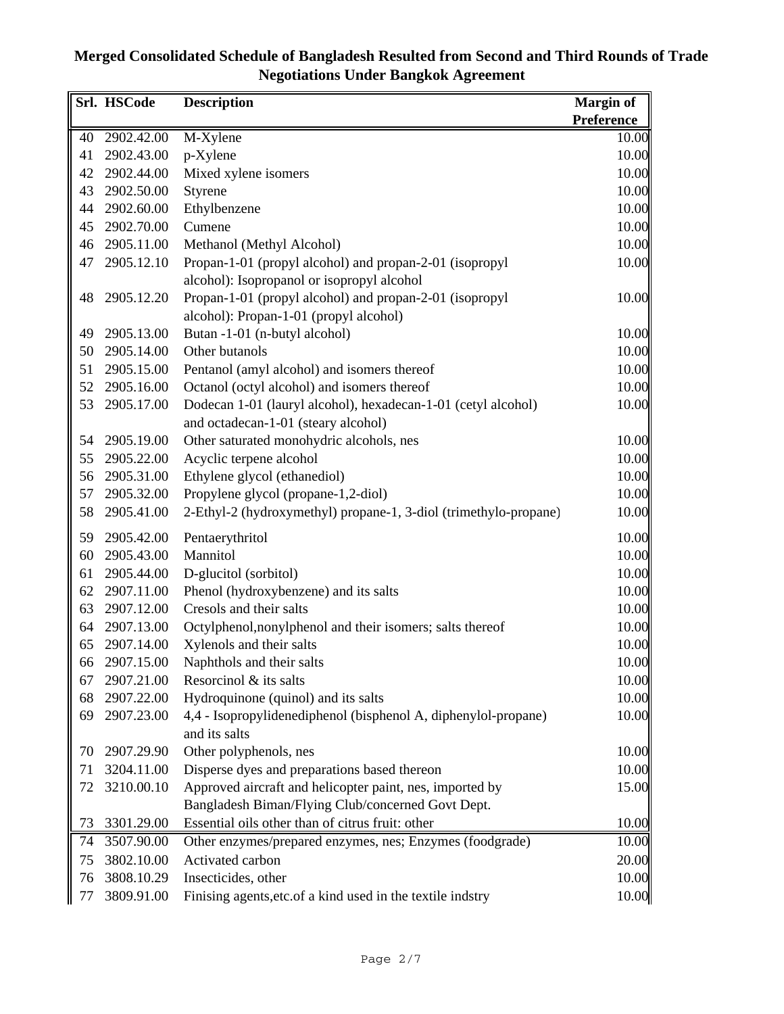|    | Srl. HSCode | <b>Description</b>                                               | <b>Margin of</b>  |
|----|-------------|------------------------------------------------------------------|-------------------|
|    |             |                                                                  | <b>Preference</b> |
| 40 | 2902.42.00  | M-Xylene                                                         | 10.00             |
| 41 | 2902.43.00  | p-Xylene                                                         | 10.00             |
| 42 | 2902.44.00  | Mixed xylene isomers                                             | 10.00             |
| 43 | 2902.50.00  | Styrene                                                          | 10.00             |
| 44 | 2902.60.00  | Ethylbenzene                                                     | 10.00             |
| 45 | 2902.70.00  | Cumene                                                           | 10.00             |
| 46 | 2905.11.00  | Methanol (Methyl Alcohol)                                        | 10.00             |
| 47 | 2905.12.10  | Propan-1-01 (propyl alcohol) and propan-2-01 (isopropyl          | 10.00             |
|    |             | alcohol): Isopropanol or isopropyl alcohol                       |                   |
| 48 | 2905.12.20  | Propan-1-01 (propyl alcohol) and propan-2-01 (isopropyl          | 10.00             |
|    |             | alcohol): Propan-1-01 (propyl alcohol)                           |                   |
| 49 | 2905.13.00  | Butan -1-01 (n-butyl alcohol)                                    | 10.00             |
| 50 | 2905.14.00  | Other butanols                                                   | 10.00             |
| 51 | 2905.15.00  | Pentanol (amyl alcohol) and isomers thereof                      | 10.00             |
| 52 | 2905.16.00  | Octanol (octyl alcohol) and isomers thereof                      | 10.00             |
| 53 | 2905.17.00  | Dodecan 1-01 (lauryl alcohol), hexadecan-1-01 (cetyl alcohol)    | 10.00             |
|    |             | and octadecan-1-01 (steary alcohol)                              |                   |
| 54 | 2905.19.00  | Other saturated monohydric alcohols, nes                         | 10.00             |
| 55 | 2905.22.00  | Acyclic terpene alcohol                                          | 10.00             |
| 56 | 2905.31.00  | Ethylene glycol (ethanediol)                                     | 10.00             |
| 57 | 2905.32.00  | Propylene glycol (propane-1,2-diol)                              | 10.00             |
| 58 | 2905.41.00  | 2-Ethyl-2 (hydroxymethyl) propane-1, 3-diol (trimethylo-propane) | 10.00             |
| 59 | 2905.42.00  | Pentaerythritol                                                  | 10.00             |
| 60 | 2905.43.00  | Mannitol                                                         | 10.00             |
| 61 | 2905.44.00  | D-glucitol (sorbitol)                                            | 10.00             |
| 62 | 2907.11.00  | Phenol (hydroxybenzene) and its salts                            | 10.00             |
| 63 | 2907.12.00  | Cresols and their salts                                          | 10.00             |
| 64 | 2907.13.00  | Octylphenol, nonylphenol and their isomers; salts thereof        | 10.00             |
| 65 | 2907.14.00  | Xylenols and their salts                                         | 10.00             |
| 66 | 2907.15.00  | Naphthols and their salts                                        | 10.00             |
| 67 | 2907.21.00  | Resorcinol & its salts                                           | 10.00             |
| 68 | 2907.22.00  | Hydroquinone (quinol) and its salts                              | 10.00             |
| 69 | 2907.23.00  | 4,4 - Isopropylidenediphenol (bisphenol A, diphenylol-propane)   | 10.00             |
|    |             | and its salts                                                    |                   |
| 70 | 2907.29.90  | Other polyphenols, nes                                           | 10.00             |
| 71 | 3204.11.00  | Disperse dyes and preparations based thereon                     | 10.00             |
| 72 | 3210.00.10  | Approved aircraft and helicopter paint, nes, imported by         | 15.00             |
|    |             | Bangladesh Biman/Flying Club/concerned Govt Dept.                |                   |
| 73 | 3301.29.00  | Essential oils other than of citrus fruit: other                 | 10.00             |
| 74 | 3507.90.00  | Other enzymes/prepared enzymes, nes; Enzymes (foodgrade)         | 10.00             |
| 75 | 3802.10.00  | Activated carbon                                                 | 20.00             |
| 76 | 3808.10.29  | Insecticides, other                                              | 10.00             |
| 77 | 3809.91.00  | Finising agents, etc. of a kind used in the textile indstry      | 10.00             |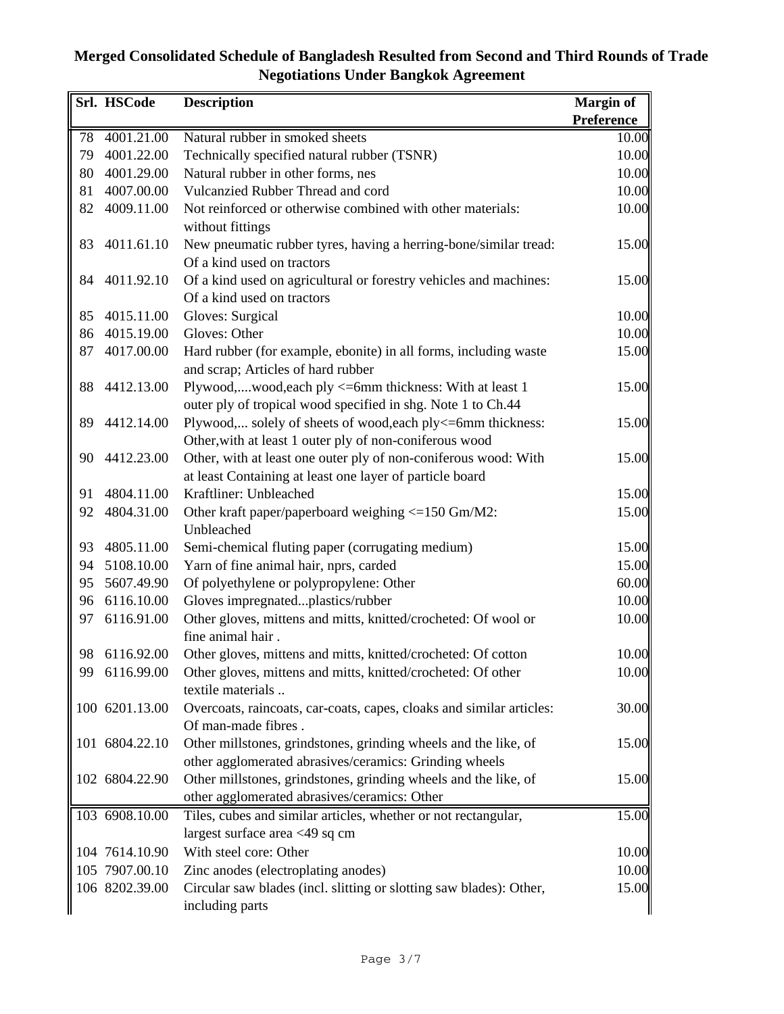|    | Srl. HSCode    | <b>Description</b>                                                   | Margin of         |
|----|----------------|----------------------------------------------------------------------|-------------------|
|    |                |                                                                      | <b>Preference</b> |
| 78 | 4001.21.00     | Natural rubber in smoked sheets                                      | 10.00             |
| 79 | 4001.22.00     | Technically specified natural rubber (TSNR)                          | 10.00             |
| 80 | 4001.29.00     | Natural rubber in other forms, nes                                   | 10.00             |
| 81 | 4007.00.00     | Vulcanzied Rubber Thread and cord                                    | 10.00             |
| 82 | 4009.11.00     | Not reinforced or otherwise combined with other materials:           | 10.00             |
|    |                | without fittings                                                     |                   |
| 83 | 4011.61.10     | New pneumatic rubber tyres, having a herring-bone/similar tread:     | 15.00             |
|    |                | Of a kind used on tractors                                           |                   |
| 84 | 4011.92.10     | Of a kind used on agricultural or forestry vehicles and machines:    | 15.00             |
|    |                | Of a kind used on tractors                                           |                   |
| 85 | 4015.11.00     | Gloves: Surgical                                                     | 10.00             |
| 86 | 4015.19.00     | Gloves: Other                                                        | 10.00             |
| 87 | 4017.00.00     | Hard rubber (for example, ebonite) in all forms, including waste     | 15.00             |
|    |                | and scrap; Articles of hard rubber                                   |                   |
| 88 | 4412.13.00     | Plywood,wood,each ply <= 6mm thickness: With at least 1              | 15.00             |
|    |                | outer ply of tropical wood specified in shg. Note 1 to Ch.44         |                   |
| 89 | 4412.14.00     | Plywood, solely of sheets of wood, each ply<=6mm thickness:          | 15.00             |
|    |                | Other, with at least 1 outer ply of non-coniferous wood              |                   |
| 90 | 4412.23.00     | Other, with at least one outer ply of non-coniferous wood: With      | 15.00             |
|    |                | at least Containing at least one layer of particle board             |                   |
| 91 | 4804.11.00     | Kraftliner: Unbleached                                               | 15.00             |
| 92 | 4804.31.00     | Other kraft paper/paperboard weighing <= 150 Gm/M2:                  | 15.00             |
|    |                | Unbleached                                                           |                   |
| 93 | 4805.11.00     | Semi-chemical fluting paper (corrugating medium)                     | 15.00             |
| 94 | 5108.10.00     | Yarn of fine animal hair, nprs, carded                               | 15.00             |
| 95 | 5607.49.90     | Of polyethylene or polypropylene: Other                              | 60.00             |
| 96 | 6116.10.00     | Gloves impregnatedplastics/rubber                                    | 10.00             |
| 97 | 6116.91.00     | Other gloves, mittens and mitts, knitted/crocheted: Of wool or       | 10.00             |
|    |                | fine animal hair.                                                    |                   |
| 98 | 6116.92.00     | Other gloves, mittens and mitts, knitted/crocheted: Of cotton        | 10.00             |
| 99 | 6116.99.00     | Other gloves, mittens and mitts, knitted/crocheted: Of other         | 10.00             |
|    |                | textile materials                                                    |                   |
|    | 100 6201.13.00 | Overcoats, raincoats, car-coats, capes, cloaks and similar articles: | 30.00             |
|    |                | Of man-made fibres.                                                  |                   |
|    | 101 6804.22.10 | Other millstones, grindstones, grinding wheels and the like, of      | 15.00             |
|    |                | other agglomerated abrasives/ceramics: Grinding wheels               |                   |
|    | 102 6804.22.90 | Other millstones, grindstones, grinding wheels and the like, of      | 15.00             |
|    |                | other agglomerated abrasives/ceramics: Other                         |                   |
|    | 103 6908.10.00 | Tiles, cubes and similar articles, whether or not rectangular,       | 15.00             |
|    |                | largest surface area <49 sq cm                                       |                   |
|    | 104 7614.10.90 | With steel core: Other                                               | 10.00             |
|    | 105 7907.00.10 | Zinc anodes (electroplating anodes)                                  | 10.00             |
|    | 106 8202.39.00 | Circular saw blades (incl. slitting or slotting saw blades): Other,  | 15.00             |
|    |                | including parts                                                      |                   |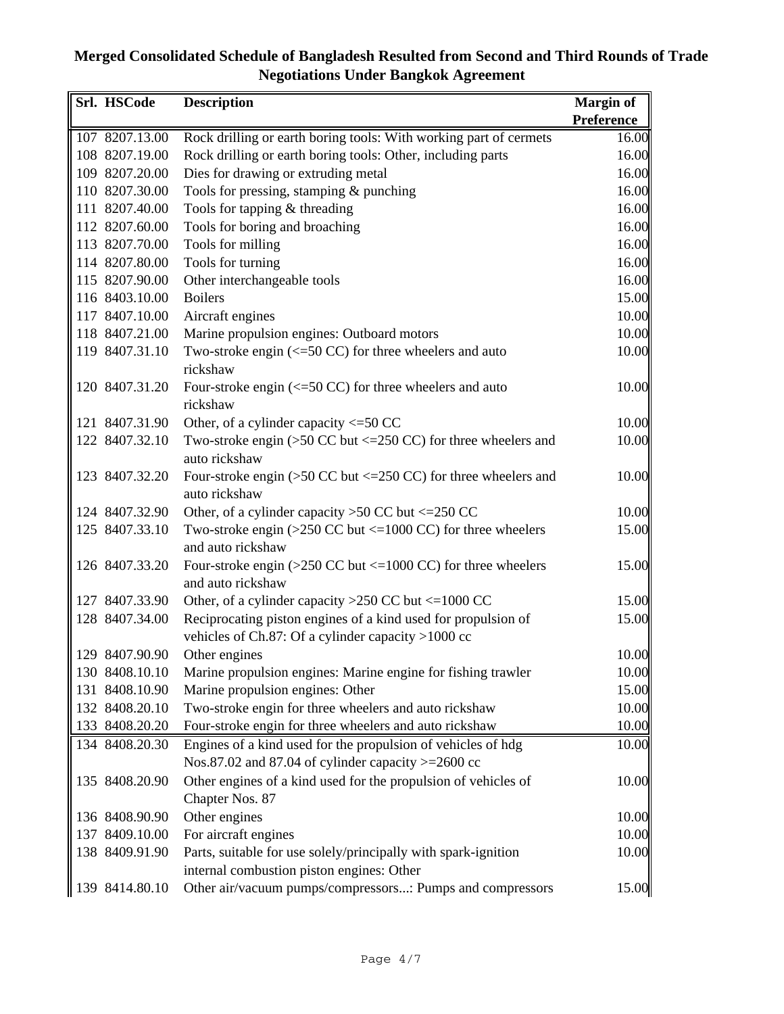| Srl. HSCode    | <b>Description</b>                                                                                      | <b>Margin of</b>  |
|----------------|---------------------------------------------------------------------------------------------------------|-------------------|
|                |                                                                                                         | <b>Preference</b> |
| 107 8207.13.00 | Rock drilling or earth boring tools: With working part of cermets                                       | 16.00             |
| 108 8207.19.00 | Rock drilling or earth boring tools: Other, including parts                                             | 16.00             |
| 109 8207.20.00 | Dies for drawing or extruding metal                                                                     | 16.00             |
| 110 8207.30.00 | Tools for pressing, stamping & punching                                                                 | 16.00             |
| 111 8207.40.00 | Tools for tapping $&$ threading                                                                         | 16.00             |
| 112 8207.60.00 | Tools for boring and broaching                                                                          | 16.00             |
| 113 8207.70.00 | Tools for milling                                                                                       | 16.00             |
| 114 8207.80.00 | Tools for turning                                                                                       | 16.00             |
| 115 8207.90.00 | Other interchangeable tools                                                                             | 16.00             |
| 116 8403.10.00 | <b>Boilers</b>                                                                                          | 15.00             |
| 117 8407.10.00 | Aircraft engines                                                                                        | 10.00             |
| 118 8407.21.00 | Marine propulsion engines: Outboard motors                                                              | 10.00             |
| 119 8407.31.10 | Two-stroke engin $\left(\leq 50 \text{ CC}\right)$ for three wheelers and auto<br>rickshaw              | 10.00             |
| 120 8407.31.20 | Four-stroke engin $\left(\leq 50 \text{ CC}\right)$ for three wheelers and auto<br>rickshaw             | 10.00             |
| 121 8407.31.90 | Other, of a cylinder capacity $\leq$ =50 CC                                                             | 10.00             |
| 122 8407.32.10 | Two-stroke engin $(>50$ CC but $\leq$ 250 CC) for three wheelers and                                    | 10.00             |
|                | auto rickshaw                                                                                           |                   |
| 123 8407.32.20 | Four-stroke engin $(>50 \text{ CC}$ but $\leq 250 \text{ CC}$ ) for three wheelers and<br>auto rickshaw | 10.00             |
| 124 8407.32.90 | Other, of a cylinder capacity $>50$ CC but $\leq$ 250 CC                                                | 10.00             |
| 125 8407.33.10 | Two-stroke engin $(>250$ CC but $\leq 1000$ CC) for three wheelers                                      | 15.00             |
|                | and auto rickshaw                                                                                       |                   |
| 126 8407.33.20 | Four-stroke engin ( $>250$ CC but $<=1000$ CC) for three wheelers<br>and auto rickshaw                  | 15.00             |
| 127 8407.33.90 | Other, of a cylinder capacity >250 CC but $\leq$ 1000 CC                                                | 15.00             |
| 128 8407.34.00 | Reciprocating piston engines of a kind used for propulsion of                                           | 15.00             |
|                | vehicles of Ch.87: Of a cylinder capacity $>1000$ cc                                                    |                   |
| 129 8407.90.90 | Other engines                                                                                           | 10.00             |
| 130 8408.10.10 | Marine propulsion engines: Marine engine for fishing trawler                                            | 10.00             |
| 131 8408.10.90 | Marine propulsion engines: Other                                                                        | 15.00             |
| 132 8408.20.10 | Two-stroke engin for three wheelers and auto rickshaw                                                   | 10.00             |
| 133 8408.20.20 | Four-stroke engin for three wheelers and auto rickshaw                                                  | 10.00             |
| 134 8408.20.30 | Engines of a kind used for the propulsion of vehicles of hdg                                            | 10.00             |
|                | Nos.87.02 and 87.04 of cylinder capacity $>=$ 2600 cc                                                   |                   |
| 135 8408.20.90 | Other engines of a kind used for the propulsion of vehicles of                                          | 10.00             |
|                | Chapter Nos. 87                                                                                         |                   |
| 136 8408.90.90 | Other engines                                                                                           | 10.00             |
| 137 8409.10.00 | For aircraft engines                                                                                    | 10.00             |
| 138 8409.91.90 | Parts, suitable for use solely/principally with spark-ignition                                          | 10.00             |
|                | internal combustion piston engines: Other                                                               |                   |
| 139 8414.80.10 | Other air/vacuum pumps/compressors: Pumps and compressors                                               | 15.00             |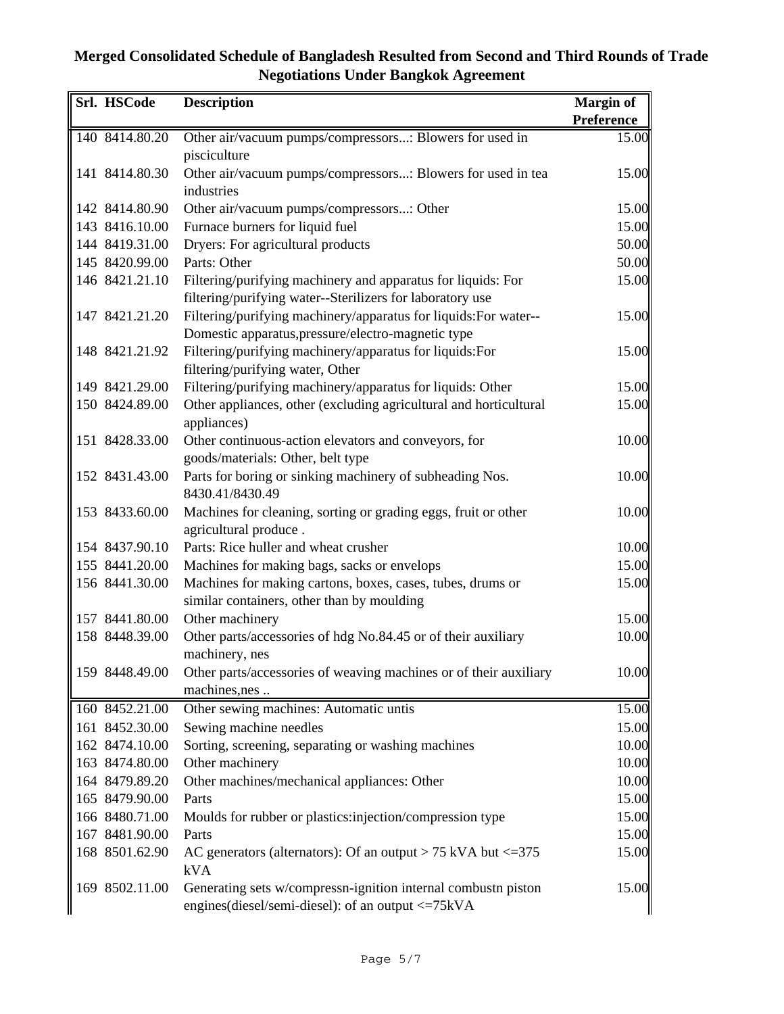| Srl. HSCode    | <b>Description</b>                                                  | Margin of  |
|----------------|---------------------------------------------------------------------|------------|
|                |                                                                     | Preference |
| 140 8414.80.20 | Other air/vacuum pumps/compressors: Blowers for used in             | 15.00      |
|                | pisciculture                                                        |            |
| 141 8414.80.30 | Other air/vacuum pumps/compressors: Blowers for used in tea         | 15.00      |
|                | industries                                                          |            |
| 142 8414.80.90 | Other air/vacuum pumps/compressors: Other                           | 15.00      |
| 143 8416.10.00 | Furnace burners for liquid fuel                                     | 15.00      |
| 144 8419.31.00 | Dryers: For agricultural products                                   | 50.00      |
| 145 8420.99.00 | Parts: Other                                                        | 50.00      |
| 146 8421.21.10 | Filtering/purifying machinery and apparatus for liquids: For        | 15.00      |
|                | filtering/purifying water--Sterilizers for laboratory use           |            |
| 147 8421.21.20 | Filtering/purifying machinery/apparatus for liquids: For water--    | 15.00      |
|                | Domestic apparatus, pressure/electro-magnetic type                  |            |
| 148 8421.21.92 | Filtering/purifying machinery/apparatus for liquids:For             | 15.00      |
|                | filtering/purifying water, Other                                    |            |
| 149 8421.29.00 | Filtering/purifying machinery/apparatus for liquids: Other          | 15.00      |
| 150 8424.89.00 | Other appliances, other (excluding agricultural and horticultural   | 15.00      |
|                | appliances)                                                         |            |
| 151 8428.33.00 | Other continuous-action elevators and conveyors, for                | 10.00      |
|                | goods/materials: Other, belt type                                   |            |
| 152 8431.43.00 | Parts for boring or sinking machinery of subheading Nos.            | 10.00      |
|                | 8430.41/8430.49                                                     |            |
| 153 8433.60.00 | Machines for cleaning, sorting or grading eggs, fruit or other      | 10.00      |
|                | agricultural produce.                                               |            |
| 154 8437.90.10 | Parts: Rice huller and wheat crusher                                | 10.00      |
| 155 8441.20.00 | Machines for making bags, sacks or envelops                         | 15.00      |
| 156 8441.30.00 | Machines for making cartons, boxes, cases, tubes, drums or          | 15.00      |
|                | similar containers, other than by moulding                          |            |
| 157 8441.80.00 | Other machinery                                                     | 15.00      |
| 158 8448.39.00 | Other parts/accessories of hdg No.84.45 or of their auxiliary       | 10.00      |
|                | machinery, nes                                                      |            |
| 159 8448.49.00 | Other parts/accessories of weaving machines or of their auxiliary   | 10.00      |
|                | machines, nes                                                       |            |
| 160 8452.21.00 | Other sewing machines: Automatic untis                              | 15.00      |
| 161 8452.30.00 | Sewing machine needles                                              | 15.00      |
| 162 8474.10.00 | Sorting, screening, separating or washing machines                  | 10.00      |
| 163 8474.80.00 | Other machinery                                                     | 10.00      |
| 164 8479.89.20 | Other machines/mechanical appliances: Other                         | 10.00      |
| 165 8479.90.00 | Parts                                                               | 15.00      |
| 166 8480.71.00 | Moulds for rubber or plastics:injection/compression type            | 15.00      |
| 167 8481.90.00 | Parts                                                               | 15.00      |
| 168 8501.62.90 | AC generators (alternators): Of an output $> 75$ kVA but $\leq 375$ | 15.00      |
|                | <b>kVA</b>                                                          |            |
| 169 8502.11.00 | Generating sets w/compressn-ignition internal combustn piston       | 15.00      |
|                | engines(diesel/semi-diesel): of an output <= 75kVA                  |            |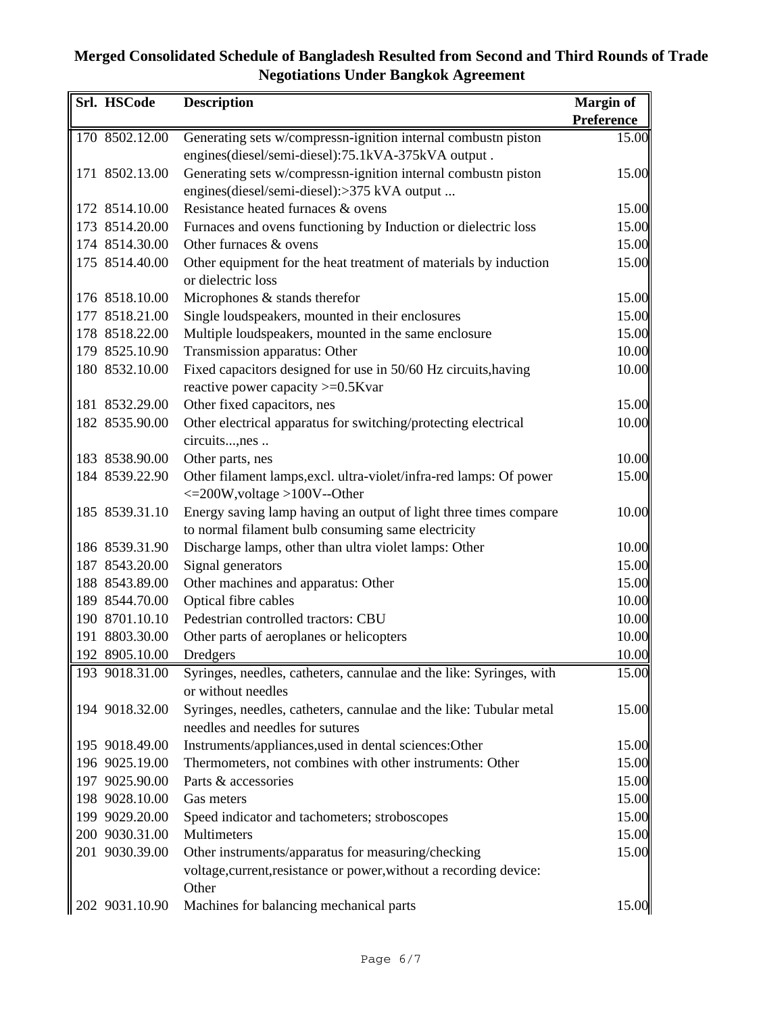| Srl. HSCode    | <b>Description</b>                                                  | <b>Margin of</b>  |
|----------------|---------------------------------------------------------------------|-------------------|
|                |                                                                     | <b>Preference</b> |
| 170 8502.12.00 | Generating sets w/compressn-ignition internal combustn piston       | 15.00             |
|                | engines(diesel/semi-diesel):75.1kVA-375kVA output.                  |                   |
| 171 8502.13.00 | Generating sets w/compressn-ignition internal combustn piston       | 15.00             |
|                | engines(diesel/semi-diesel):>375 kVA output                         |                   |
| 172 8514.10.00 | Resistance heated furnaces & ovens                                  | 15.00             |
| 173 8514.20.00 | Furnaces and ovens functioning by Induction or dielectric loss      | 15.00             |
| 174 8514.30.00 | Other furnaces & ovens                                              | 15.00             |
| 175 8514.40.00 | Other equipment for the heat treatment of materials by induction    | 15.00             |
|                | or dielectric loss                                                  |                   |
| 176 8518.10.00 | Microphones & stands therefor                                       | 15.00             |
| 177 8518.21.00 | Single loudspeakers, mounted in their enclosures                    | 15.00             |
| 178 8518.22.00 | Multiple loudspeakers, mounted in the same enclosure                | 15.00             |
| 179 8525.10.90 | Transmission apparatus: Other                                       | 10.00             |
| 180 8532.10.00 | Fixed capacitors designed for use in 50/60 Hz circuits, having      | 10.00             |
|                | reactive power capacity >=0.5Kvar                                   |                   |
| 181 8532.29.00 | Other fixed capacitors, nes                                         | 15.00             |
| 182 8535.90.00 | Other electrical apparatus for switching/protecting electrical      | 10.00             |
|                | circuits,nes                                                        |                   |
| 183 8538.90.00 | Other parts, nes                                                    | 10.00             |
| 184 8539.22.90 | Other filament lamps, excl. ultra-violet/infra-red lamps: Of power  | 15.00             |
|                | $\leq$ 200W, voltage >100V--Other                                   |                   |
| 185 8539.31.10 | Energy saving lamp having an output of light three times compare    | 10.00             |
|                | to normal filament bulb consuming same electricity                  |                   |
| 186 8539.31.90 | Discharge lamps, other than ultra violet lamps: Other               | 10.00             |
| 187 8543.20.00 | Signal generators                                                   | 15.00             |
| 188 8543.89.00 | Other machines and apparatus: Other                                 | 15.00             |
| 189 8544.70.00 | Optical fibre cables                                                | 10.00             |
| 190 8701.10.10 | Pedestrian controlled tractors: CBU                                 | 10.00             |
| 191 8803.30.00 | Other parts of aeroplanes or helicopters                            | 10.00             |
| 192 8905.10.00 | Dredgers                                                            | 10.00             |
| 193 9018.31.00 | Syringes, needles, catheters, cannulae and the like: Syringes, with | 15.00             |
|                | or without needles                                                  |                   |
| 194 9018.32.00 | Syringes, needles, catheters, cannulae and the like: Tubular metal  | 15.00             |
|                | needles and needles for sutures                                     |                   |
| 195 9018.49.00 | Instruments/appliances, used in dental sciences: Other              | 15.00             |
| 196 9025.19.00 | Thermometers, not combines with other instruments: Other            | 15.00             |
| 197 9025.90.00 | Parts & accessories                                                 | 15.00             |
| 198 9028.10.00 | Gas meters                                                          | 15.00             |
| 199 9029.20.00 | Speed indicator and tachometers; stroboscopes                       | 15.00             |
| 200 9030.31.00 | Multimeters                                                         | 15.00             |
| 201 9030.39.00 | Other instruments/apparatus for measuring/checking                  | 15.00             |
|                | voltage, current, resistance or power, without a recording device:  |                   |
|                | Other                                                               |                   |
| 202 9031.10.90 | Machines for balancing mechanical parts                             | 15.00             |
|                |                                                                     |                   |